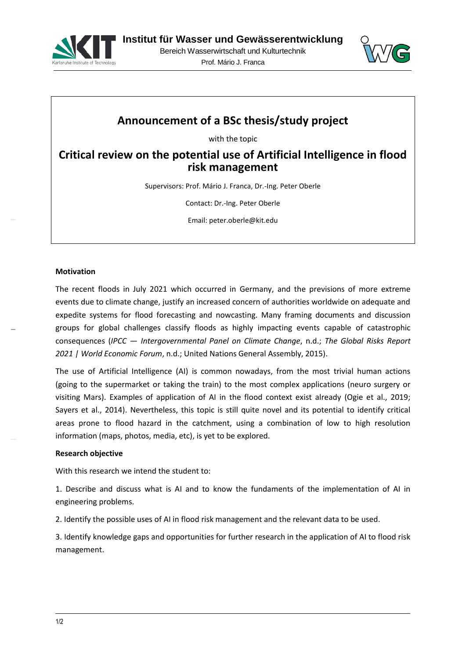



# **Announcement of a BSc thesis/study project**

with the topic

**Critical review on the potential use of Artificial Intelligence in flood risk management**

Supervisors: Prof. Mário J. Franca, Dr.-Ing. Peter Oberle

Contact: Dr.-Ing. Peter Oberle

Email: peter.oberle@kit.edu

#### **Motivation**

The recent floods in July 2021 which occurred in Germany, and the previsions of more extreme events due to climate change, justify an increased concern of authorities worldwide on adequate and expedite systems for flood forecasting and nowcasting. Many framing documents and discussion groups for global challenges classify floods as highly impacting events capable of catastrophic consequences (*IPCC — Intergovernmental Panel on Climate Change*, n.d.; *The Global Risks Report 2021 | World Economic Forum*, n.d.; United Nations General Assembly, 2015).

The use of Artificial Intelligence (AI) is common nowadays, from the most trivial human actions (going to the supermarket or taking the train) to the most complex applications (neuro surgery or visiting Mars). Examples of application of AI in the flood context exist already (Ogie et al., 2019; Sayers et al., 2014). Nevertheless, this topic is still quite novel and its potential to identify critical areas prone to flood hazard in the catchment, using a combination of low to high resolution information (maps, photos, media, etc), is yet to be explored.

#### **Research objective**

With this research we intend the student to:

1. Describe and discuss what is AI and to know the fundaments of the implementation of AI in engineering problems.

2. Identify the possible uses of AI in flood risk management and the relevant data to be used.

3. Identify knowledge gaps and opportunities for further research in the application of AI to flood risk management.